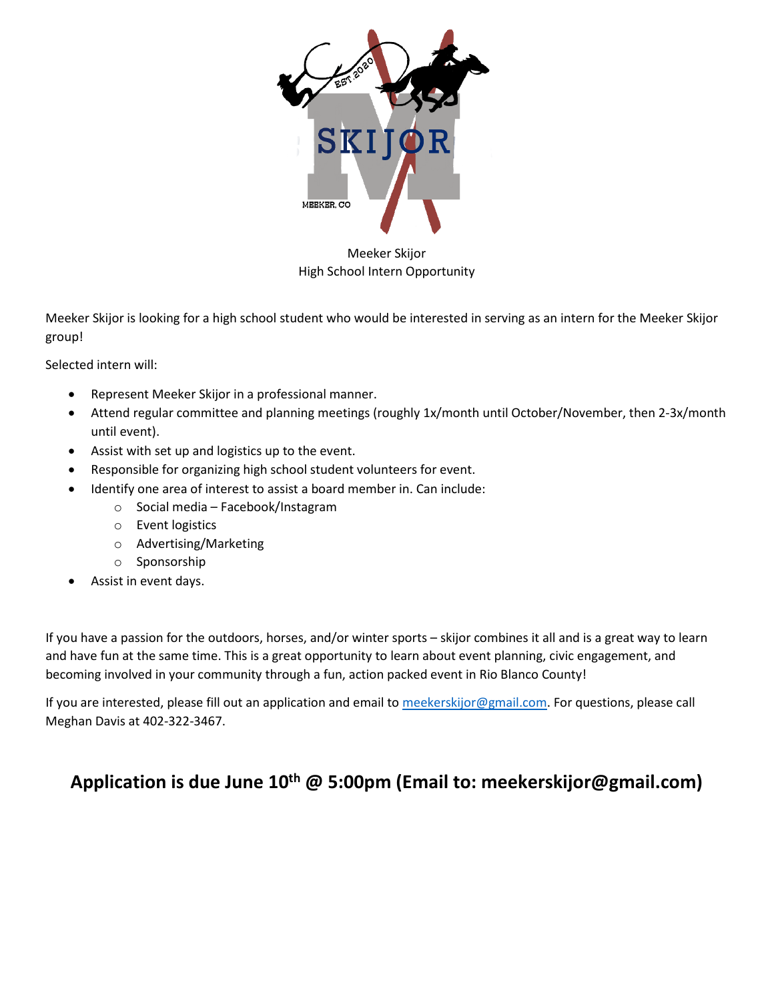

Meeker Skijor High School Intern Opportunity

Meeker Skijor is looking for a high school student who would be interested in serving as an intern for the Meeker Skijor group!

Selected intern will:

- Represent Meeker Skijor in a professional manner.
- Attend regular committee and planning meetings (roughly 1x/month until October/November, then 2-3x/month until event).
- Assist with set up and logistics up to the event.
- Responsible for organizing high school student volunteers for event.
- Identify one area of interest to assist a board member in. Can include:
	- o Social media Facebook/Instagram
	- o Event logistics
	- o Advertising/Marketing
	- o Sponsorship
- Assist in event days.

If you have a passion for the outdoors, horses, and/or winter sports – skijor combines it all and is a great way to learn and have fun at the same time. This is a great opportunity to learn about event planning, civic engagement, and becoming involved in your community through a fun, action packed event in Rio Blanco County!

If you are interested, please fill out an application and email to [meekerskijor@gmail.com.](mailto:meekerskijor@gmail.com) For questions, please call Meghan Davis at 402-322-3467.

# **Application is due June 10th @ 5:00pm (Email to: meekerskijor@gmail.com)**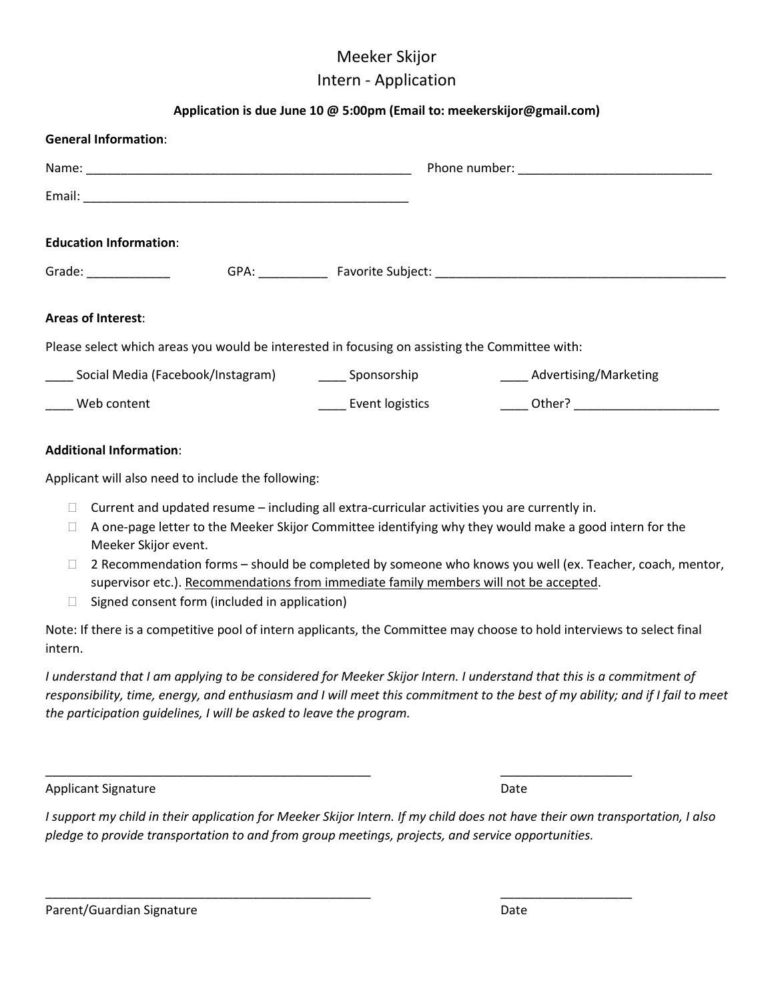## Meeker Skijor Intern - Application

## **Application is due June 10 @ 5:00pm (Email to: meekerskijor@gmail.com)**

| <b>General Information:</b>                                                                                                                                                                                                    |                                                                                                |                              |  |
|--------------------------------------------------------------------------------------------------------------------------------------------------------------------------------------------------------------------------------|------------------------------------------------------------------------------------------------|------------------------------|--|
|                                                                                                                                                                                                                                |                                                                                                |                              |  |
|                                                                                                                                                                                                                                |                                                                                                |                              |  |
| <b>Education Information:</b>                                                                                                                                                                                                  |                                                                                                |                              |  |
| Grade: National Contract of the Contract of the Contract of the Contract of the Contract of the Contract of the Contract of the Contract of the Contract of the Contract of the Contract of the Contract of the Contract of th |                                                                                                |                              |  |
| <b>Areas of Interest:</b>                                                                                                                                                                                                      |                                                                                                |                              |  |
|                                                                                                                                                                                                                                | Please select which areas you would be interested in focusing on assisting the Committee with: |                              |  |
| Social Media (Facebook/Instagram) [1986] Sponsorship                                                                                                                                                                           |                                                                                                | <b>Advertising/Marketing</b> |  |
| Web content                                                                                                                                                                                                                    | <b>Event logistics</b>                                                                         |                              |  |
|                                                                                                                                                                                                                                |                                                                                                |                              |  |

#### **Additional Information**:

Applicant will also need to include the following:

- $\Box$  Current and updated resume including all extra-curricular activities you are currently in.
- $\Box$  A one-page letter to the Meeker Skijor Committee identifying why they would make a good intern for the Meeker Skijor event.
- $\Box$  2 Recommendation forms should be completed by someone who knows you well (ex. Teacher, coach, mentor, supervisor etc.). Recommendations from immediate family members will not be accepted.
- $\Box$  Signed consent form (included in application)

Note: If there is a competitive pool of intern applicants, the Committee may choose to hold interviews to select final intern.

*I understand that I am applying to be considered for Meeker Skijor Intern. I understand that this is a commitment of responsibility, time, energy, and enthusiasm and I will meet this commitment to the best of my ability; and if I fail to meet the participation guidelines, I will be asked to leave the program.* 

#### Applicant Signature Date Applicant Signature Date Applicant Signature Date Date

*I support my child in their application for Meeker Skijor Intern. If my child does not have their own transportation, I also pledge to provide transportation to and from group meetings, projects, and service opportunities.*

\_\_\_\_\_\_\_\_\_\_\_\_\_\_\_\_\_\_\_\_\_\_\_\_\_\_\_\_\_\_\_\_\_\_\_\_\_\_\_\_\_\_\_\_\_\_\_ \_\_\_\_\_\_\_\_\_\_\_\_\_\_\_\_\_\_\_

\_\_\_\_\_\_\_\_\_\_\_\_\_\_\_\_\_\_\_\_\_\_\_\_\_\_\_\_\_\_\_\_\_\_\_\_\_\_\_\_\_\_\_\_\_\_\_ \_\_\_\_\_\_\_\_\_\_\_\_\_\_\_\_\_\_\_

| Parent/Guardian Signature | Date |
|---------------------------|------|
|                           |      |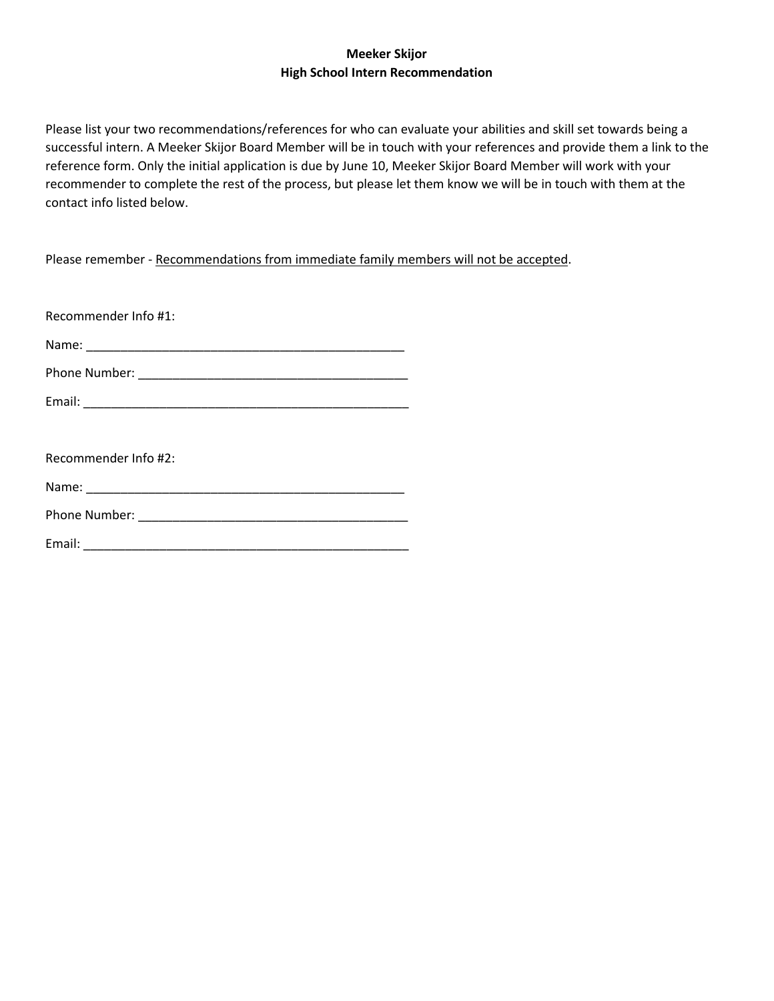## **Meeker Skijor High School Intern Recommendation**

Please list your two recommendations/references for who can evaluate your abilities and skill set towards being a successful intern. A Meeker Skijor Board Member will be in touch with your references and provide them a link to the reference form. Only the initial application is due by June 10, Meeker Skijor Board Member will work with your recommender to complete the rest of the process, but please let them know we will be in touch with them at the contact info listed below.

Please remember - Recommendations from immediate family members will not be accepted.

| Recommender Info #1:                                                                                                                                                                                                           |  |  |  |  |
|--------------------------------------------------------------------------------------------------------------------------------------------------------------------------------------------------------------------------------|--|--|--|--|
|                                                                                                                                                                                                                                |  |  |  |  |
|                                                                                                                                                                                                                                |  |  |  |  |
|                                                                                                                                                                                                                                |  |  |  |  |
|                                                                                                                                                                                                                                |  |  |  |  |
| Recommender Info #2:                                                                                                                                                                                                           |  |  |  |  |
| Name: Name and the state of the state of the state of the state of the state of the state of the state of the state of the state of the state of the state of the state of the state of the state of the state of the state of |  |  |  |  |
|                                                                                                                                                                                                                                |  |  |  |  |
|                                                                                                                                                                                                                                |  |  |  |  |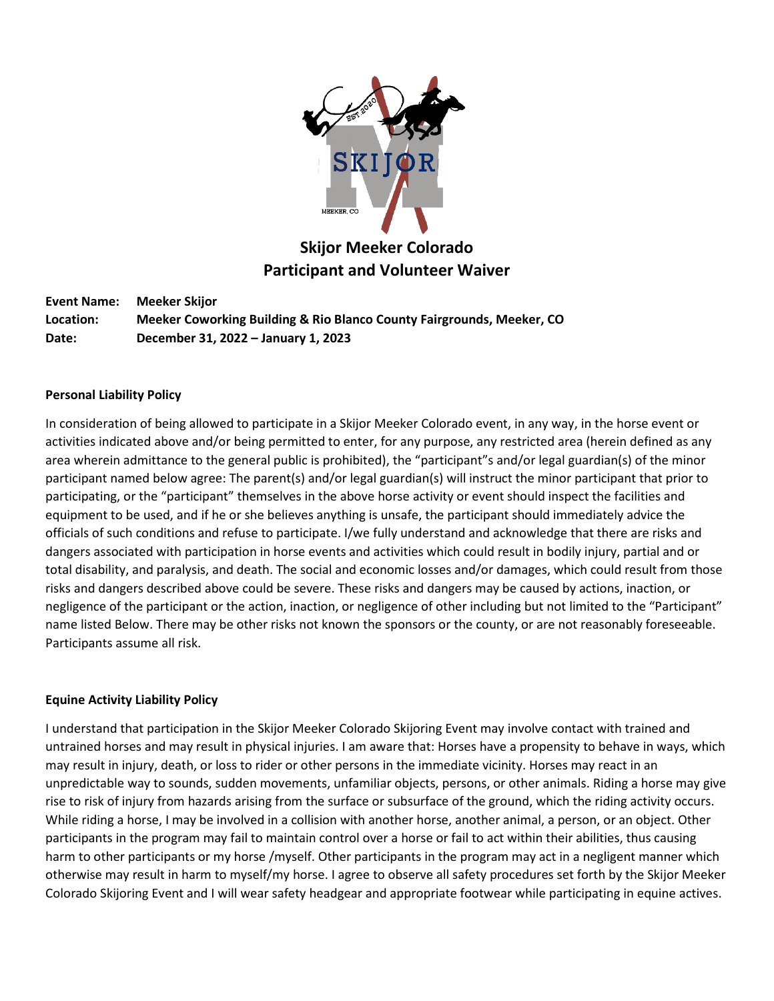

## **Skijor Meeker Colorado Participant and Volunteer Waiver**

**Event Name: Meeker Skijor Location: Meeker Coworking Building & Rio Blanco County Fairgrounds, Meeker, CO Date: December 31, 2022 – January 1, 2023**

### **Personal Liability Policy**

In consideration of being allowed to participate in a Skijor Meeker Colorado event, in any way, in the horse event or activities indicated above and/or being permitted to enter, for any purpose, any restricted area (herein defined as any area wherein admittance to the general public is prohibited), the "participant"s and/or legal guardian(s) of the minor participant named below agree: The parent(s) and/or legal guardian(s) will instruct the minor participant that prior to participating, or the "participant" themselves in the above horse activity or event should inspect the facilities and equipment to be used, and if he or she believes anything is unsafe, the participant should immediately advice the officials of such conditions and refuse to participate. I/we fully understand and acknowledge that there are risks and dangers associated with participation in horse events and activities which could result in bodily injury, partial and or total disability, and paralysis, and death. The social and economic losses and/or damages, which could result from those risks and dangers described above could be severe. These risks and dangers may be caused by actions, inaction, or negligence of the participant or the action, inaction, or negligence of other including but not limited to the "Participant" name listed Below. There may be other risks not known the sponsors or the county, or are not reasonably foreseeable. Participants assume all risk.

### **Equine Activity Liability Policy**

I understand that participation in the Skijor Meeker Colorado Skijoring Event may involve contact with trained and untrained horses and may result in physical injuries. I am aware that: Horses have a propensity to behave in ways, which may result in injury, death, or loss to rider or other persons in the immediate vicinity. Horses may react in an unpredictable way to sounds, sudden movements, unfamiliar objects, persons, or other animals. Riding a horse may give rise to risk of injury from hazards arising from the surface or subsurface of the ground, which the riding activity occurs. While riding a horse, I may be involved in a collision with another horse, another animal, a person, or an object. Other participants in the program may fail to maintain control over a horse or fail to act within their abilities, thus causing harm to other participants or my horse /myself. Other participants in the program may act in a negligent manner which otherwise may result in harm to myself/my horse. I agree to observe all safety procedures set forth by the Skijor Meeker Colorado Skijoring Event and I will wear safety headgear and appropriate footwear while participating in equine actives.